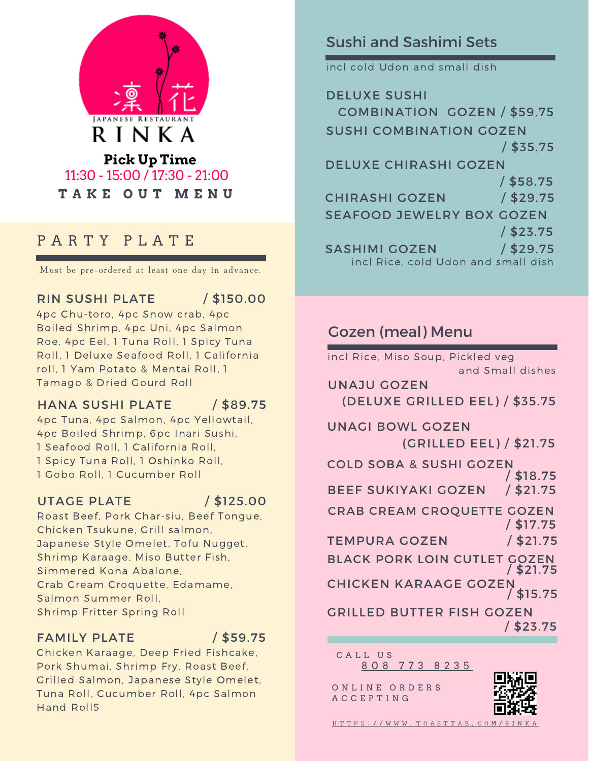

# **T A K E O U T M E N U** 11:30 - 15:00 / 17:30 - 21:00

## P A R T Y P L A T E

Must be pre-ordered at least one day in advance.

#### RIN SUSHI PLATE

/ \$150.00

4pc Chu-toro, 4pc Snow crab, 4pc Boiled Shrimp, 4pc Uni, 4pc Salmon Roe, 4pc Eel, 1 Tuna Roll, 1 Spicy Tuna Roll, 1 Deluxe Seafood Roll, 1 California roll, 1 Yam Potato & Mentai Roll, 1 Tamago & Dried Gourd Roll

#### HANA SUSHI PLATE / \$89.75

4pc Tuna, 4pc Salmon, 4pc Yellowtail, 4pc Boiled Shrimp, 6pc Inari Sushi, 1 Seafood Roll, 1 California Roll, 1 Spicy Tuna Roll, 1 Oshinko Roll, 1 Gobo Roll, 1 Cucumber Roll

#### UTAGE PLATE

/ \$125.00

Roast Beef, Pork Char-siu, Beef Tongue, Chicken Tsukune, Grill salmon, Japanese Style Omelet, Tofu Nugget, Shrimp Karaage, Miso Butter Fish, Simmered Kona Abalone, Crab Cream Croquette, Edamame, Salmon Summer Roll, Shrimp Fritter Spring Roll

### FAMILY PLATE

/ \$59.75

Chicken Karaage, Deep Fried Fishcake, Pork Shumai, Shrimp Fry, Roast Beef, Grilled Salmon, Japanese Style Omelet, Tuna Roll, Cucumber Roll, 4pc Salmon Hand Roll5

## Sushi and Sashimi Sets

incl cold Udon and small dish

DELUXE SUSHI COMBINATION GOZEN / \$59.75 SUSHI COMBINATION GOZEN / \$35.75 DELUXE CHIRASHI GOZEN / \$58.75 / \$29.75 SEAFOOD JEWELRY BOX GOZEN / \$23.75 SASHIMI GOZEN / \$29.75 CHIRASHI GOZEN incl Rice, cold Udon and small dish

## Gozen (meal) Menu

UNAJU GOZEN (DELUXE GRILLED EEL) / \$35.75 incl Rice, Miso Soup, Pickled veg and Small dishes BLACK PORK LOIN CUTLET GOZEN UNAGI BOWL GOZEN (GRILLED EEL) / \$21.75 COLD SOBA & SUSHI GOZEN BEEF SUKIYAKI GOZEN / \$18.75 TEMPURA GOZEN / \$21.75 / \$21.75 CRAB CREAM CROQUETTE GOZEN / \$17.75 / \$21.75 CHICKEN KARAAGE GOZEN GRILLED BUTTER FISH GOZEN / \$15.75 / \$23.75

8 0 8 7 7 3 8 2 3 5 CALL US

ONLINE ORDERS A C C E P T I N G



 $HTTPS: // WWW. TOASTTABLE. COM/R$  $HTTPS: // WWW. TOASTTABLE. COM/R$  $HTTPS: // WWW. TOASTTABLE. COM/R$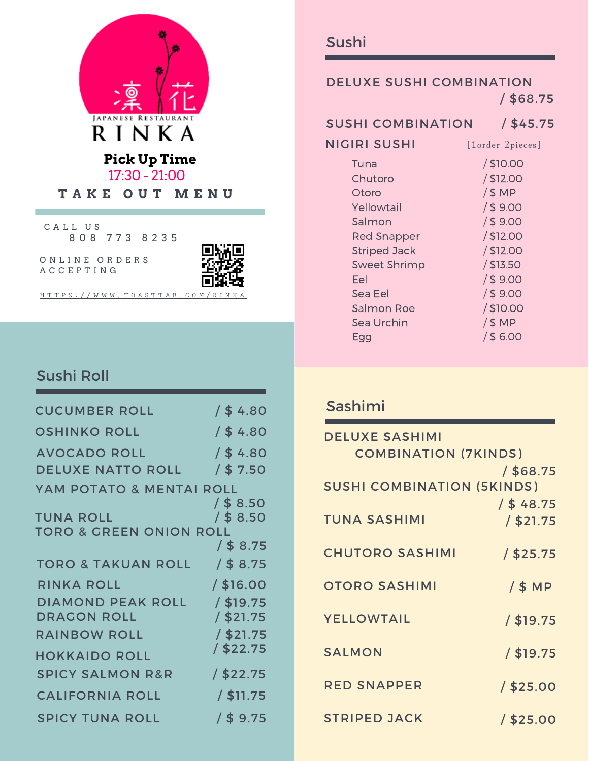

8 0 8 7 7 3 8 2 3 5 CALL US

ONLINE ORDERS A C C E P T I N G



H T T P S : / / [W](https://www.toasttab.com/rinka) W W . T O A S T T A B . C O M / R I N

## Sushi Roll

| <b>CUCUMBER ROLL</b>               | $/$ \$ 4.80 |
|------------------------------------|-------------|
| <b>OSHINKO ROLL</b>                | $/$ \$4.80  |
| <b>AVOCADO ROLL</b>                | $/$ \$ 4.80 |
| <b>DELUXE NATTO ROLL</b>           | $/$ \$ 7.50 |
| YAM POTATO & MENTAI ROLL           | / \$ 8.50   |
| <b>TUNA ROLL</b>                   | $/$ \$ 8.50 |
| <b>TORO &amp; GREEN ONION ROLL</b> |             |
|                                    | $/$ \$ 8.75 |
| TORO & TAKUAN ROLL / \$8.75        |             |
| <b>RINKA ROLL</b>                  | / \$16.00   |
| <b>DIAMOND PEAK ROLL</b>           | / \$19.75   |
| <b>DRAGON ROLL</b>                 | / \$21.75   |
| <b>RAINBOW ROLL</b>                | / \$21.75   |
| <b>HOKKAIDO ROLL</b>               | / \$22.75   |
| <b>SPICY SALMON R&amp;R</b>        | $/$ \$22.75 |
| <b>CALIFORNIA ROLL</b>             | $/$ \$11.75 |
| <b>SPICY TUNA ROLL</b>             | $/$ \$ 9.75 |

### DELUXE SUSHI COMBINATION / \$68.75

SUSHI COMBINATION / \$45.75

NIGIRI SUSHI

[1order 2pieces]

| Tuna                | $/$ \$10.00 |
|---------------------|-------------|
| Chutoro             | $/$ \$12.00 |
| Otoro               | /\$MP       |
| Yellowtail          | 1\$9.00     |
| Salmon              | 1\$9.00     |
| <b>Red Snapper</b>  | $/$ \$12.00 |
| <b>Striped Jack</b> | $/$ \$12.00 |
| <b>Sweet Shrimp</b> | $/$ \$13.50 |
| Fel                 | 1\$9.00     |
| Sea Eel             | 1\$9.00     |
| Salmon Roe          | $/$ \$10.00 |
| Sea Urchin          | /\$MP       |
| Eaa                 | 1\$6.00     |

## Sashimi

| <b>DELUXE SASHIMI</b>             |              |
|-----------------------------------|--------------|
| <b>COMBINATION (7KINDS)</b>       |              |
|                                   | $/$ \$68.75  |
| <b>SUSHI COMBINATION (5KINDS)</b> |              |
|                                   | $/$ \$ 48.75 |
| <b>TUNA SASHIMI</b>               | / \$21.75    |
|                                   |              |
| <b>CHUTORO SASHIMI</b>            | / \$25.75    |
|                                   |              |
| <b>OTORO SASHIMI</b>              | /\$ MP       |
|                                   |              |
| <b>YELLOWTAIL</b>                 | / \$19.75    |
| <b>SALMON</b>                     |              |
|                                   | / \$19.75    |
| <b>RED SNAPPER</b>                | $/$ \$25.00  |
|                                   |              |
| <b>STRIPED JACK</b>               | $/$ \$25.00  |
|                                   |              |